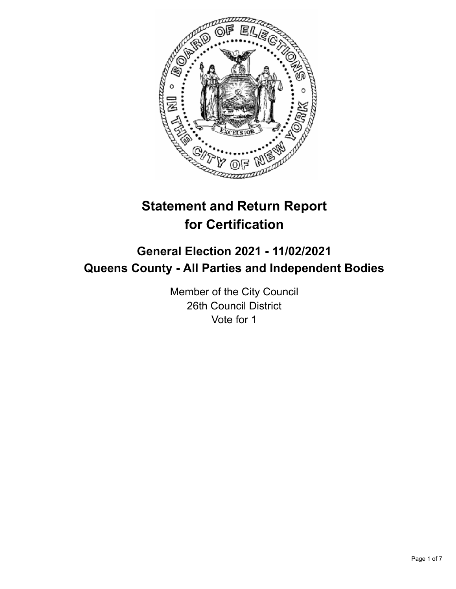

# **Statement and Return Report for Certification**

## **General Election 2021 - 11/02/2021 Queens County - All Parties and Independent Bodies**

Member of the City Council 26th Council District Vote for 1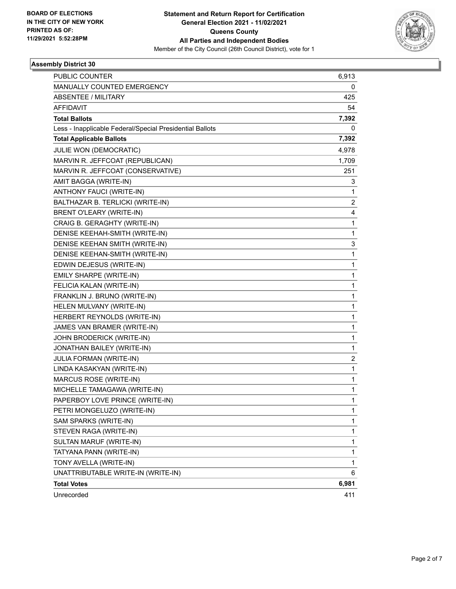

| PUBLIC COUNTER                                           | 6,913                   |
|----------------------------------------------------------|-------------------------|
| MANUALLY COUNTED EMERGENCY                               | 0                       |
| ABSENTEE / MILITARY                                      | 425                     |
| <b>AFFIDAVIT</b>                                         | 54                      |
| <b>Total Ballots</b>                                     | 7,392                   |
| Less - Inapplicable Federal/Special Presidential Ballots | 0                       |
| <b>Total Applicable Ballots</b>                          | 7,392                   |
| JULIE WON (DEMOCRATIC)                                   | 4,978                   |
| MARVIN R. JEFFCOAT (REPUBLICAN)                          | 1,709                   |
| MARVIN R. JEFFCOAT (CONSERVATIVE)                        | 251                     |
| AMIT BAGGA (WRITE-IN)                                    | 3                       |
| ANTHONY FAUCI (WRITE-IN)                                 | 1                       |
| BALTHAZAR B. TERLICKI (WRITE-IN)                         | $\overline{2}$          |
| <b>BRENT O'LEARY (WRITE-IN)</b>                          | 4                       |
| CRAIG B. GERAGHTY (WRITE-IN)                             | 1                       |
| DENISE KEEHAH-SMITH (WRITE-IN)                           | 1                       |
| DENISE KEEHAN SMITH (WRITE-IN)                           | 3                       |
| DENISE KEEHAN-SMITH (WRITE-IN)                           | 1                       |
| EDWIN DEJESUS (WRITE-IN)                                 | 1                       |
| EMILY SHARPE (WRITE-IN)                                  | 1                       |
| FELICIA KALAN (WRITE-IN)                                 | 1                       |
| FRANKLIN J. BRUNO (WRITE-IN)                             | 1                       |
| HELEN MULVANY (WRITE-IN)                                 | 1                       |
| HERBERT REYNOLDS (WRITE-IN)                              | 1                       |
| JAMES VAN BRAMER (WRITE-IN)                              | 1                       |
| JOHN BRODERICK (WRITE-IN)                                | 1                       |
| JONATHAN BAILEY (WRITE-IN)                               | 1                       |
| JULIA FORMAN (WRITE-IN)                                  | $\overline{\mathbf{c}}$ |
| LINDA KASAKYAN (WRITE-IN)                                | 1                       |
| MARCUS ROSE (WRITE-IN)                                   | 1                       |
| MICHELLE TAMAGAWA (WRITE-IN)                             | 1                       |
| PAPERBOY LOVE PRINCE (WRITE-IN)                          | 1                       |
| PETRI MONGELUZO (WRITE-IN)                               | 1                       |
| SAM SPARKS (WRITE-IN)                                    | 1                       |
| STEVEN RAGA (WRITE-IN)                                   | 1                       |
| SULTAN MARUF (WRITE-IN)                                  | 1                       |
| TATYANA PANN (WRITE-IN)                                  | 1                       |
| TONY AVELLA (WRITE-IN)                                   | 1                       |
| UNATTRIBUTABLE WRITE-IN (WRITE-IN)                       | 6                       |
| <b>Total Votes</b>                                       | 6,981                   |
| Unrecorded                                               | 411                     |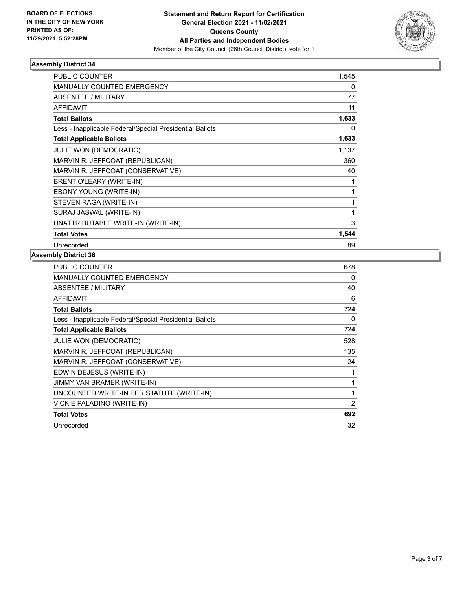

| <b>PUBLIC COUNTER</b>                                    | 1,545 |
|----------------------------------------------------------|-------|
| <b>MANUALLY COUNTED EMERGENCY</b>                        | 0     |
| ABSENTEE / MILITARY                                      | 77    |
| <b>AFFIDAVIT</b>                                         | 11    |
| <b>Total Ballots</b>                                     | 1,633 |
| Less - Inapplicable Federal/Special Presidential Ballots | 0     |
| <b>Total Applicable Ballots</b>                          | 1,633 |
| <b>JULIE WON (DEMOCRATIC)</b>                            | 1,137 |
| MARVIN R. JEFFCOAT (REPUBLICAN)                          | 360   |
| MARVIN R. JEFFCOAT (CONSERVATIVE)                        | 40    |
| BRENT O'LEARY (WRITE-IN)                                 | 1     |
| <b>EBONY YOUNG (WRITE-IN)</b>                            | 1     |
| STEVEN RAGA (WRITE-IN)                                   | 1     |
| SURAJ JASWAL (WRITE-IN)                                  |       |
| UNATTRIBUTABLE WRITE-IN (WRITE-IN)                       | 3     |
| <b>Total Votes</b>                                       | 1,544 |
| Unrecorded                                               | 89    |

| PUBLIC COUNTER                                           | 678            |
|----------------------------------------------------------|----------------|
| <b>MANUALLY COUNTED EMERGENCY</b>                        | 0              |
| ABSENTEE / MILITARY                                      | 40             |
| <b>AFFIDAVIT</b>                                         | 6              |
| <b>Total Ballots</b>                                     | 724            |
| Less - Inapplicable Federal/Special Presidential Ballots | 0              |
| <b>Total Applicable Ballots</b>                          | 724            |
| JULIE WON (DEMOCRATIC)                                   | 528            |
| MARVIN R. JEFFCOAT (REPUBLICAN)                          | 135            |
| MARVIN R. JEFFCOAT (CONSERVATIVE)                        | 24             |
| EDWIN DEJESUS (WRITE-IN)                                 | 1              |
| <b>JIMMY VAN BRAMER (WRITE-IN)</b>                       | 1              |
| UNCOUNTED WRITE-IN PER STATUTE (WRITE-IN)                | 1              |
| VICKIE PALADINO (WRITE-IN)                               | $\overline{2}$ |
| <b>Total Votes</b>                                       | 692            |
| Unrecorded                                               | 32             |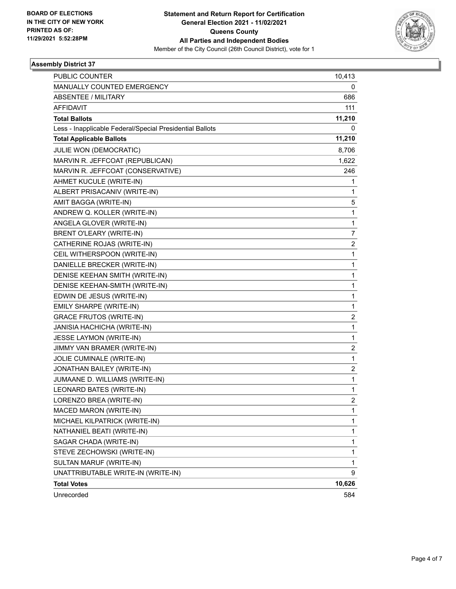

| PUBLIC COUNTER                                           | 10,413 |
|----------------------------------------------------------|--------|
| MANUALLY COUNTED EMERGENCY                               | 0      |
| <b>ABSENTEE / MILITARY</b>                               | 686    |
| <b>AFFIDAVIT</b>                                         | 111    |
| <b>Total Ballots</b>                                     | 11,210 |
| Less - Inapplicable Federal/Special Presidential Ballots | 0      |
| <b>Total Applicable Ballots</b>                          | 11,210 |
| JULIE WON (DEMOCRATIC)                                   | 8,706  |
| MARVIN R. JEFFCOAT (REPUBLICAN)                          | 1,622  |
| MARVIN R. JEFFCOAT (CONSERVATIVE)                        | 246    |
| AHMET KUCULE (WRITE-IN)                                  | 1      |
| ALBERT PRISACANIV (WRITE-IN)                             | 1      |
| AMIT BAGGA (WRITE-IN)                                    | 5      |
| ANDREW Q. KOLLER (WRITE-IN)                              | 1      |
| ANGELA GLOVER (WRITE-IN)                                 | 1      |
| BRENT O'LEARY (WRITE-IN)                                 | 7      |
| CATHERINE ROJAS (WRITE-IN)                               | 2      |
| CEIL WITHERSPOON (WRITE-IN)                              | 1      |
| DANIELLE BRECKER (WRITE-IN)                              | 1      |
| DENISE KEEHAN SMITH (WRITE-IN)                           | 1      |
| DENISE KEEHAN-SMITH (WRITE-IN)                           | 1      |
| EDWIN DE JESUS (WRITE-IN)                                | 1      |
| EMILY SHARPE (WRITE-IN)                                  | 1      |
| <b>GRACE FRUTOS (WRITE-IN)</b>                           | 2      |
| JANISIA HACHICHA (WRITE-IN)                              | 1      |
| <b>JESSE LAYMON (WRITE-IN)</b>                           | 1      |
| JIMMY VAN BRAMER (WRITE-IN)                              | 2      |
| JOLIE CUMINALE (WRITE-IN)                                | 1      |
| JONATHAN BAILEY (WRITE-IN)                               | 2      |
| JUMAANE D. WILLIAMS (WRITE-IN)                           | 1      |
| <b>LEONARD BATES (WRITE-IN)</b>                          | 1      |
| LORENZO BREA (WRITE-IN)                                  | 2      |
| MACED MARON (WRITE-IN)                                   | 1      |
| MICHAEL KILPATRICK (WRITE-IN)                            | 1      |
| NATHANIEL BEATI (WRITE-IN)                               | 1      |
| SAGAR CHADA (WRITE-IN)                                   | 1      |
| STEVE ZECHOWSKI (WRITE-IN)                               | 1      |
| SULTAN MARUF (WRITE-IN)                                  | 1      |
| UNATTRIBUTABLE WRITE-IN (WRITE-IN)                       | 9      |
| <b>Total Votes</b>                                       | 10,626 |
| Unrecorded                                               | 584    |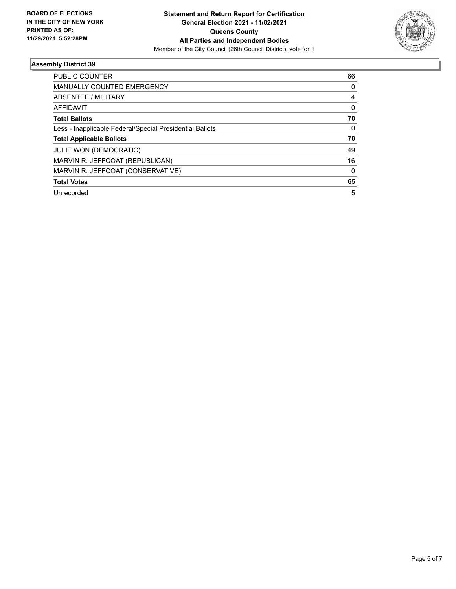

| <b>PUBLIC COUNTER</b>                                    | 66 |
|----------------------------------------------------------|----|
| <b>MANUALLY COUNTED EMERGENCY</b>                        | 0  |
| ABSENTEE / MILITARY                                      | 4  |
| AFFIDAVIT                                                | 0  |
| <b>Total Ballots</b>                                     | 70 |
| Less - Inapplicable Federal/Special Presidential Ballots | 0  |
| <b>Total Applicable Ballots</b>                          | 70 |
| <b>JULIE WON (DEMOCRATIC)</b>                            | 49 |
| MARVIN R. JEFFCOAT (REPUBLICAN)                          | 16 |
| MARVIN R. JEFFCOAT (CONSERVATIVE)                        | 0  |
| <b>Total Votes</b>                                       | 65 |
| Unrecorded                                               | 5  |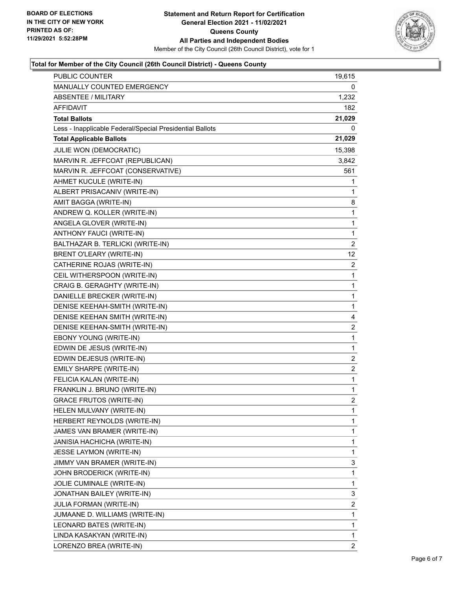

## **Total for Member of the City Council (26th Council District) - Queens County**

| <b>PUBLIC COUNTER</b>                                    | 19,615                  |
|----------------------------------------------------------|-------------------------|
| MANUALLY COUNTED EMERGENCY                               | 0                       |
| <b>ABSENTEE / MILITARY</b>                               | 1,232                   |
| AFFIDAVIT                                                | 182                     |
| <b>Total Ballots</b>                                     | 21,029                  |
| Less - Inapplicable Federal/Special Presidential Ballots | 0                       |
| <b>Total Applicable Ballots</b>                          | 21,029                  |
| JULIE WON (DEMOCRATIC)                                   | 15,398                  |
| MARVIN R. JEFFCOAT (REPUBLICAN)                          | 3,842                   |
| MARVIN R. JEFFCOAT (CONSERVATIVE)                        | 561                     |
| AHMET KUCULE (WRITE-IN)                                  | 1                       |
| ALBERT PRISACANIV (WRITE-IN)                             | 1                       |
| AMIT BAGGA (WRITE-IN)                                    | 8                       |
| ANDREW Q. KOLLER (WRITE-IN)                              | 1                       |
| ANGELA GLOVER (WRITE-IN)                                 | 1                       |
| ANTHONY FAUCI (WRITE-IN)                                 | 1                       |
| BALTHAZAR B. TERLICKI (WRITE-IN)                         | 2                       |
| BRENT O'LEARY (WRITE-IN)                                 | 12                      |
| CATHERINE ROJAS (WRITE-IN)                               | $\overline{2}$          |
| CEIL WITHERSPOON (WRITE-IN)                              | 1                       |
| CRAIG B. GERAGHTY (WRITE-IN)                             | 1                       |
| DANIELLE BRECKER (WRITE-IN)                              | 1                       |
| DENISE KEEHAH-SMITH (WRITE-IN)                           | 1                       |
| DENISE KEEHAN SMITH (WRITE-IN)                           | 4                       |
| DENISE KEEHAN-SMITH (WRITE-IN)                           | $\overline{\mathbf{c}}$ |
| EBONY YOUNG (WRITE-IN)                                   | 1                       |
| EDWIN DE JESUS (WRITE-IN)                                | 1                       |
| EDWIN DEJESUS (WRITE-IN)                                 | $\overline{c}$          |
| EMILY SHARPE (WRITE-IN)                                  | 2                       |
| FELICIA KALAN (WRITE-IN)                                 | 1                       |
| FRANKLIN J. BRUNO (WRITE-IN)                             | 1                       |
| <b>GRACE FRUTOS (WRITE-IN)</b>                           | $\overline{c}$          |
| HELEN MULVANY (WRITE-IN)                                 | 1                       |
| HERBERT REYNOLDS (WRITE-IN)                              | 1                       |
| JAMES VAN BRAMER (WRITE-IN)                              | 1                       |
| JANISIA HACHICHA (WRITE-IN)                              | 1                       |
| JESSE LAYMON (WRITE-IN)                                  | 1                       |
| JIMMY VAN BRAMER (WRITE-IN)                              | 3                       |
| JOHN BRODERICK (WRITE-IN)                                | 1                       |
| JOLIE CUMINALE (WRITE-IN)                                | 1                       |
| JONATHAN BAILEY (WRITE-IN)                               | 3                       |
| JULIA FORMAN (WRITE-IN)                                  | 2                       |
| JUMAANE D. WILLIAMS (WRITE-IN)                           | 1                       |
| LEONARD BATES (WRITE-IN)                                 | 1                       |
| LINDA KASAKYAN (WRITE-IN)                                | 1                       |
| LORENZO BREA (WRITE-IN)                                  | 2                       |